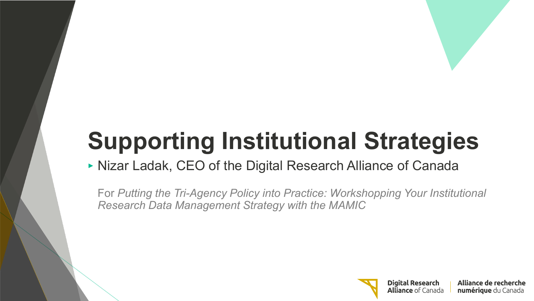# **Supporting Institutional Strategies**

## ‣ Nizar Ladak, CEO of the Digital Research Alliance of Canada

For *Putting the Tri-Agency Policy into Practice: Workshopping Your Institutional Research Data Management Strategy with the MAMIC*

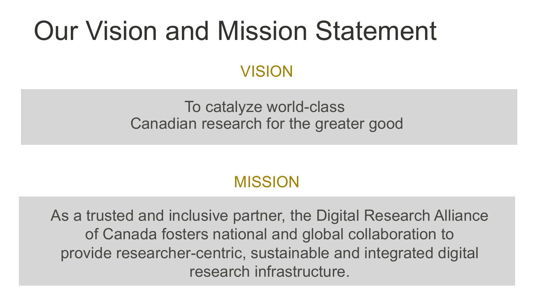## Our Vision and Mission Statement

## **VISION**

### To catalyze world-class Canadian research for the greater good

## MISSION

As a trusted and inclusive partner, the Digital Research Alliance of Canada fosters national and global collaboration to provide researcher-centric, sustainable and integrated digital research infrastructure.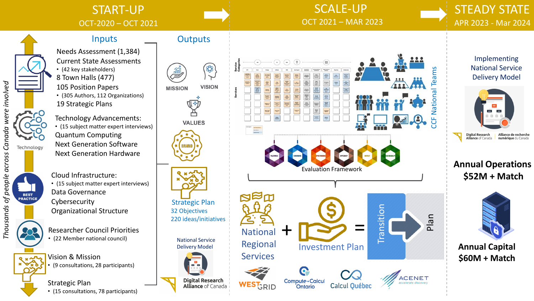#### START-UP OCT -2020 – OCT 2021

#### SCALE -UP OCT 2021 – MAR 2023





## Needs Assessment (1,384)

Current State Assessments

- (42 key stakeholders)
- 8 Town Halls (477)
- 105 Position Papers
- (305 Authors, 112 Organizations) 19 Strategic Plans

Technology Advancements: • (15 subject matter expert interviews) Quantum Computing Next Generation Software Next Generation Hardware

Cloud Infrastructure:

• (15 subject matter expert interviews) Data Governance Cybersecurity Organizational Structure

Researcher Council Priorities • (22 Member national council)



Strategic Plan • (15 consultations, 78 participants)

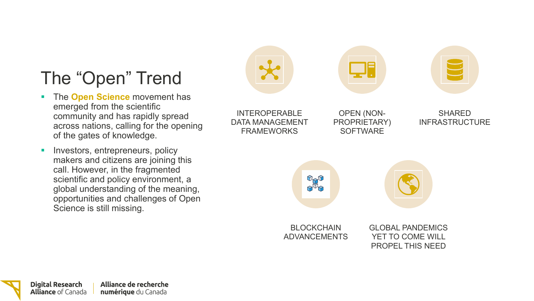## The "Open" Trend

- **The Open Science** movement has emerged from the scientific community and has rapidly spread across nations, calling for the opening of the gates of knowledge.
- Investors, entrepreneurs, policy makers and citizens are joining this call. However, in the fragmented scientific and policy environment, a global understanding of the meaning, opportunities and challenges of Open Science is still missing.